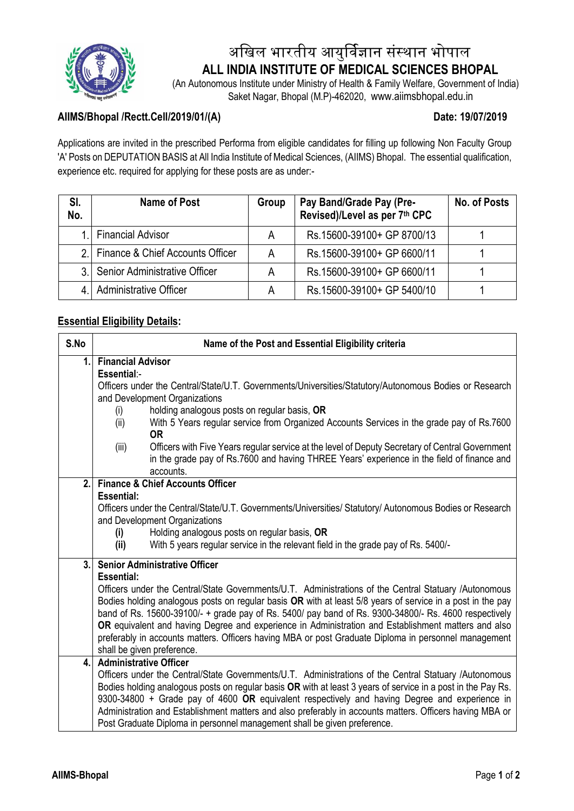

# अखिल भारतीय आयुर्विज्ञान संस्थान भोपाल  **ALL INDIA INSTITUTE OF MEDICAL SCIENCES BHOPAL**

 (An Autonomous Institute under Ministry of Health & Family Welfare, Government of India) Saket Nagar, Bhopal (M.P)-462020, www.aiimsbhopal.edu.in

# **AIIMS/Bhopal /Rectt.Cell/2019/01/(A) Date: 19/07/2019**

Applications are invited in the prescribed Performa from eligible candidates for filling up following Non Faculty Group 'A' Posts on DEPUTATION BASIS at All India Institute of Medical Sciences, (AIIMS) Bhopal. The essential qualification, experience etc. required for applying for these posts are as under:-

| SI.<br>No. | Name of Post                        | Group | Pay Band/Grade Pay (Pre-<br>Revised)/Level as per 7th CPC | No. of Posts |
|------------|-------------------------------------|-------|-----------------------------------------------------------|--------------|
|            | <b>Financial Advisor</b>            | A     | Rs.15600-39100+ GP 8700/13                                |              |
|            | 2. Finance & Chief Accounts Officer | А     | Rs. 15600-39100+ GP 6600/11                               |              |
|            | Senior Administrative Officer       | Α     | Rs. 15600-39100+ GP 6600/11                               |              |
|            | <b>Administrative Officer</b>       | А     | Rs. 15600-39100+ GP 5400/10                               |              |

## **Essential Eligibility Details:**

| <b>Financial Advisor</b><br>1.<br>Essential:-<br>Officers under the Central/State/U.T. Governments/Universities/Statutory/Autonomous Bodies or Research                                                             |                                             |  |  |  |
|---------------------------------------------------------------------------------------------------------------------------------------------------------------------------------------------------------------------|---------------------------------------------|--|--|--|
|                                                                                                                                                                                                                     |                                             |  |  |  |
|                                                                                                                                                                                                                     |                                             |  |  |  |
| and Development Organizations                                                                                                                                                                                       |                                             |  |  |  |
| holding analogous posts on regular basis, OR<br>(i)                                                                                                                                                                 |                                             |  |  |  |
| With 5 Years regular service from Organized Accounts Services in the grade pay of Rs.7600<br>(ii)                                                                                                                   |                                             |  |  |  |
| <b>OR</b>                                                                                                                                                                                                           |                                             |  |  |  |
| Officers with Five Years regular service at the level of Deputy Secretary of Central Government<br>(iii)                                                                                                            |                                             |  |  |  |
| in the grade pay of Rs.7600 and having THREE Years' experience in the field of finance and                                                                                                                          |                                             |  |  |  |
| accounts.<br>2.1                                                                                                                                                                                                    | <b>Finance &amp; Chief Accounts Officer</b> |  |  |  |
| <b>Essential:</b>                                                                                                                                                                                                   |                                             |  |  |  |
| Officers under the Central/State/U.T. Governments/Universities/ Statutory/ Autonomous Bodies or Research                                                                                                            |                                             |  |  |  |
| and Development Organizations                                                                                                                                                                                       |                                             |  |  |  |
| Holding analogous posts on regular basis, OR<br>(i)                                                                                                                                                                 |                                             |  |  |  |
| (ii)<br>With 5 years regular service in the relevant field in the grade pay of Rs. 5400/-                                                                                                                           |                                             |  |  |  |
| 3.<br><b>Senior Administrative Officer</b>                                                                                                                                                                          |                                             |  |  |  |
| <b>Essential:</b>                                                                                                                                                                                                   |                                             |  |  |  |
| Officers under the Central/State Governments/U.T. Administrations of the Central Statuary /Autonomous                                                                                                               |                                             |  |  |  |
| Bodies holding analogous posts on regular basis OR with at least 5/8 years of service in a post in the pay<br>band of Rs. 15600-39100/- + grade pay of Rs. 5400/ pay band of Rs. 9300-34800/- Rs. 4600 respectively |                                             |  |  |  |
| OR equivalent and having Degree and experience in Administration and Establishment matters and also                                                                                                                 |                                             |  |  |  |
| preferably in accounts matters. Officers having MBA or post Graduate Diploma in personnel management                                                                                                                |                                             |  |  |  |
| shall be given preference.                                                                                                                                                                                          |                                             |  |  |  |
| <b>Administrative Officer</b><br>$\mathbf{4}$ .                                                                                                                                                                     |                                             |  |  |  |
| Officers under the Central/State Governments/U.T. Administrations of the Central Statuary /Autonomous                                                                                                               |                                             |  |  |  |
| Bodies holding analogous posts on regular basis OR with at least 3 years of service in a post in the Pay Rs.                                                                                                        |                                             |  |  |  |
| 9300-34800 + Grade pay of 4600 OR equivalent respectively and having Degree and experience in<br>Administration and Establishment matters and also preferably in accounts matters. Officers having MBA or           |                                             |  |  |  |
| Post Graduate Diploma in personnel management shall be given preference.                                                                                                                                            |                                             |  |  |  |